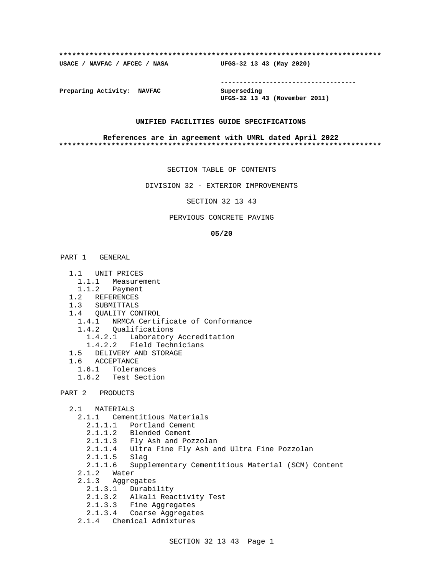#### **\*\*\*\*\*\*\*\*\*\*\*\*\*\*\*\*\*\*\*\*\*\*\*\*\*\*\*\*\*\*\*\*\*\*\*\*\*\*\*\*\*\*\*\*\*\*\*\*\*\*\*\*\*\*\*\*\*\*\*\*\*\*\*\*\*\*\*\*\*\*\*\*\*\***

**USACE / NAVFAC / AFCEC / NASA UFGS-32 13 43 (May 2020)**

**------------------------------------**

**Preparing Activity: NAVFAC Superseding**

**UFGS-32 13 43 (November 2011)**

#### **UNIFIED FACILITIES GUIDE SPECIFICATIONS**

#### **References are in agreement with UMRL dated April 2022 \*\*\*\*\*\*\*\*\*\*\*\*\*\*\*\*\*\*\*\*\*\*\*\*\*\*\*\*\*\*\*\*\*\*\*\*\*\*\*\*\*\*\*\*\*\*\*\*\*\*\*\*\*\*\*\*\*\*\*\*\*\*\*\*\*\*\*\*\*\*\*\*\*\***

SECTION TABLE OF CONTENTS

DIVISION 32 - EXTERIOR IMPROVEMENTS

SECTION 32 13 43

#### PERVIOUS CONCRETE PAVING

#### **05/20**

# PART 1 GENERAL

- 1.1 UNIT PRICES
- 1.1.1 Measurement
- 1.1.2 Payment
- 1.2 REFERENCES
- 1.3 SUBMITTALS
- 1.4 QUALITY CONTROL
- 1.4.1 NRMCA Certificate of Conformance
- 1.4.2 Qualifications
- 1.4.2.1 Laboratory Accreditation
- 1.4.2.2 Field Technicians
	- 1.5 DELIVERY AND STORAGE
	- 1.6 ACCEPTANCE
		- 1.6.1 Tolerances
		- 1.6.2 Test Section

```
PART 2 PRODUCTS
```
- 2.1 MATERIALS
	- 2.1.1 Cementitious Materials
		- 2.1.1.1 Portland Cement
- 2.1.1.2 Blended Cement
- 2.1.1.3 Fly Ash and Pozzolan
	- 2.1.1.4 Ultra Fine Fly Ash and Ultra Fine Pozzolan
	- 2.1.1.5 Slag
	- 2.1.1.6 Supplementary Cementitious Material (SCM) Content
	- 2.1.2 Water
	- 2.1.3 Aggregates
		- 2.1.3.1 Durability
		- 2.1.3.2 Alkali Reactivity Test
- 2.1.3.3 Fine Aggregates
- 2.1.3.4 Coarse Aggregates
	- 2.1.4 Chemical Admixtures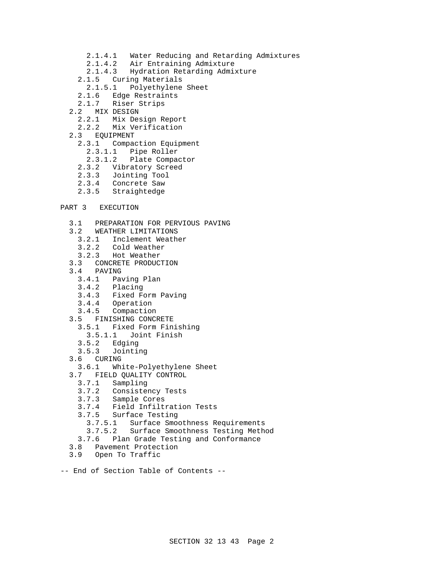- 2.1.4.1 Water Reducing and Retarding Admixtures
- 2.1.4.2 Air Entraining Admixture
- 2.1.4.3 Hydration Retarding Admixture
- 2.1.5 Curing Materials
	- 2.1.5.1 Polyethylene Sheet
- 2.1.6 Edge Restraints
- 2.1.7 Riser Strips
	- 2.2 MIX DESIGN
		- 2.2.1 Mix Design Report
		- 2.2.2 Mix Verification
	- 2.3 EQUIPMENT
		- 2.3.1 Compaction Equipment
			- 2.3.1.1 Pipe Roller
			- 2.3.1.2 Plate Compactor
		- 2.3.2 Vibratory Screed
		- 2.3.3 Jointing Tool
		- 2.3.4 Concrete Saw
		- 2.3.5 Straightedge
- PART 3 EXECUTION
	- 3.1 PREPARATION FOR PERVIOUS PAVING
	- 3.2 WEATHER LIMITATIONS
	- 3.2.1 Inclement Weather
	- 3.2.2 Cold Weather
	- 3.2.3 Hot Weather
	- 3.3 CONCRETE PRODUCTION
	- 3.4 PAVING
		- 3.4.1 Paving Plan
		- 3.4.2 Placing
		- 3.4.3 Fixed Form Paving
		- 3.4.4 Operation
		- 3.4.5 Compaction
	- 3.5 FINISHING CONCRETE
		- 3.5.1 Fixed Form Finishing
			- 3.5.1.1 Joint Finish
		- 3.5.2 Edging
		- 3.5.3 Jointing
	- 3.6 CURING
	- 3.6.1 White-Polyethylene Sheet
	- 3.7 FIELD QUALITY CONTROL
		- 3.7.1 Sampling
		- 3.7.2 Consistency Tests
		- 3.7.3 Sample Cores
		- 3.7.4 Field Infiltration Tests
		- 3.7.5 Surface Testing
			- 3.7.5.1 Surface Smoothness Requirements
		- 3.7.5.2 Surface Smoothness Testing Method
		- 3.7.6 Plan Grade Testing and Conformance
	- 3.8 Pavement Protection
	- 3.9 Open To Traffic

-- End of Section Table of Contents --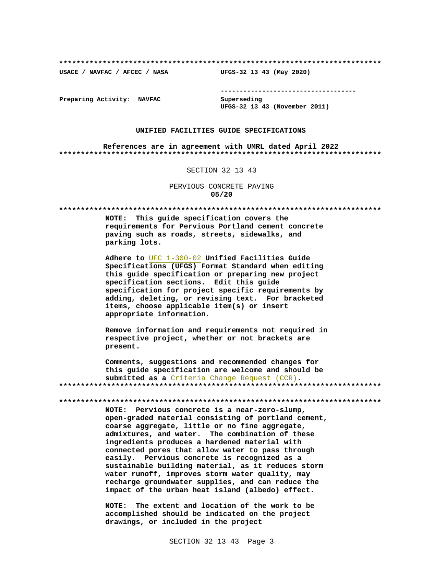USACE / NAVFAC / AFCEC / NASA

--------------------------------------

Preparing Activity: NAVFAC

Superseding UFGS-32 13 43 (November 2011)

UFGS-32 13 43 (May 2020)

#### UNIFIED FACILITIES GUIDE SPECIFICATIONS

References are in agreement with UMRL dated April 2022 

#### SECTION 32 13 43

PERVIOUS CONCRETE PAVING  $05/20$ 

NOTE: This guide specification covers the requirements for Pervious Portland cement concrete paving such as roads, streets, sidewalks, and parking lots.

Adhere to UFC 1-300-02 Unified Facilities Guide Specifications (UFGS) Format Standard when editing this guide specification or preparing new project specification sections. Edit this guide specification for project specific requirements by adding, deleting, or revising text. For bracketed items, choose applicable item(s) or insert appropriate information.

Remove information and requirements not required in respective project, whether or not brackets are present.

Comments, suggestions and recommended changes for this guide specification are welcome and should be submitted as a Criteria Change Request (CCR). 

NOTE: Pervious concrete is a near-zero-slump, open-graded material consisting of portland cement, coarse aggregate, little or no fine aggregate, admixtures, and water. The combination of these ingredients produces a hardened material with connected pores that allow water to pass through easily. Pervious concrete is recognized as a sustainable building material, as it reduces storm water runoff, improves storm water quality, may recharge groundwater supplies, and can reduce the impact of the urban heat island (albedo) effect.

NOTE: The extent and location of the work to be accomplished should be indicated on the project drawings, or included in the project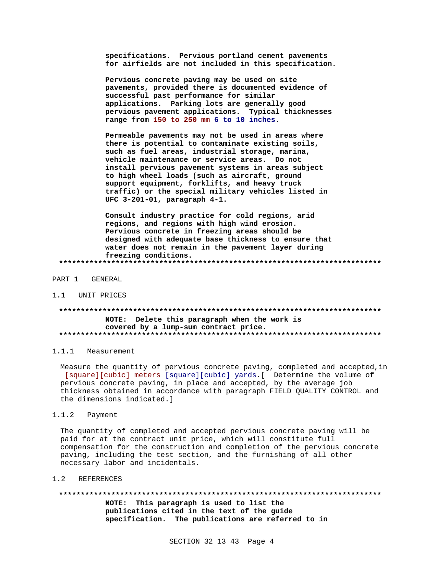specifications. Pervious portland cement pavements for airfields are not included in this specification.

Pervious concrete paving may be used on site pavements, provided there is documented evidence of successful past performance for similar applications. Parking lots are generally good pervious pavement applications. Typical thicknesses range from 150 to 250 mm 6 to 10 inches.

Permeable pavements may not be used in areas where there is potential to contaminate existing soils, such as fuel areas, industrial storage, marina, vehicle maintenance or service areas. Do not install pervious pavement systems in areas subject to high wheel loads (such as aircraft, ground support equipment, forklifts, and heavy truck traffic) or the special military vehicles listed in UFC 3-201-01, paragraph 4-1.

Consult industry practice for cold regions, arid regions, and regions with high wind erosion. Pervious concrete in freezing areas should be designed with adequate base thickness to ensure that water does not remain in the pavement layer during freezing conditions. 

PART 1 GENERAL

1.1 UNIT PRICES

# NOTE: Delete this paragraph when the work is covered by a lump-sum contract price.

1.1.1 Measurement

Measure the quantity of pervious concrete paving, completed and accepted, in [square][cubic] meters [square][cubic] yards.[ Determine the volume of pervious concrete paving, in place and accepted, by the average job thickness obtained in accordance with paragraph FIELD QUALITY CONTROL and the dimensions indicated. 1

1.1.2 Payment

The quantity of completed and accepted pervious concrete paving will be paid for at the contract unit price, which will constitute full compensation for the construction and completion of the pervious concrete paving, including the test section, and the furnishing of all other necessary labor and incidentals.

 $1.2$ **REFERENCES** 

NOTE: This paragraph is used to list the publications cited in the text of the guide

specification. The publications are referred to in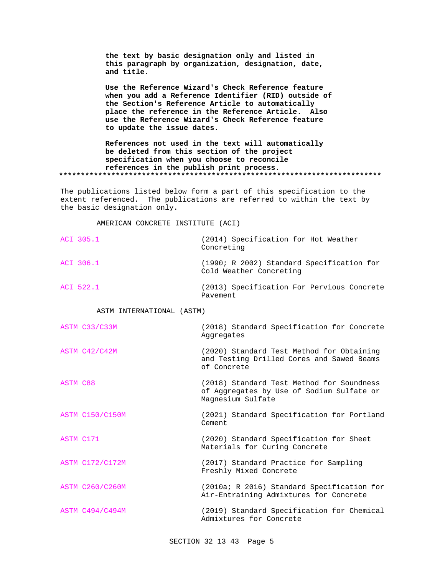**the text by basic designation only and listed in this paragraph by organization, designation, date, and title.**

**Use the Reference Wizard's Check Reference feature when you add a Reference Identifier (RID) outside of the Section's Reference Article to automatically place the reference in the Reference Article. Also use the Reference Wizard's Check Reference feature to update the issue dates.**

**References not used in the text will automatically be deleted from this section of the project specification when you choose to reconcile references in the publish print process. \*\*\*\*\*\*\*\*\*\*\*\*\*\*\*\*\*\*\*\*\*\*\*\*\*\*\*\*\*\*\*\*\*\*\*\*\*\*\*\*\*\*\*\*\*\*\*\*\*\*\*\*\*\*\*\*\*\*\*\*\*\*\*\*\*\*\*\*\*\*\*\*\*\***

The publications listed below form a part of this specification to the extent referenced. The publications are referred to within the text by the basic designation only.

AMERICAN CONCRETE INSTITUTE (ACI)

| ACI 305.1 | (2014) Specification for Hot Weather<br>Concreting                   |
|-----------|----------------------------------------------------------------------|
| ACI 306.1 | (1990; R 2002) Standard Specification for<br>Cold Weather Concreting |
| ACI 522.1 | (2013) Specification For Pervious Concrete                           |

Pavement

ASTM INTERNATIONAL (ASTM)

| ASTM C33/C33M          | (2018) Standard Specification for Concrete<br>Aggregates                                                    |
|------------------------|-------------------------------------------------------------------------------------------------------------|
| ASTM C42/C42M          | (2020) Standard Test Method for Obtaining<br>and Testing Drilled Cores and Sawed Beams<br>of Concrete       |
| <b>ASTM C88</b>        | (2018) Standard Test Method for Soundness<br>of Aggregates by Use of Sodium Sulfate or<br>Magnesium Sulfate |
| <b>ASTM C150/C150M</b> | (2021) Standard Specification for Portland<br>Cement                                                        |
| ASTM C171              | (2020) Standard Specification for Sheet<br>Materials for Curing Concrete                                    |
| <b>ASTM C172/C172M</b> | (2017) Standard Practice for Sampling<br>Freshly Mixed Concrete                                             |
| <b>ASTM C260/C260M</b> | (2010a; R 2016) Standard Specification for<br>Air-Entraining Admixtures for Concrete                        |
| <b>ASTM C494/C494M</b> | (2019) Standard Specification for Chemical<br>Admixtures for Concrete                                       |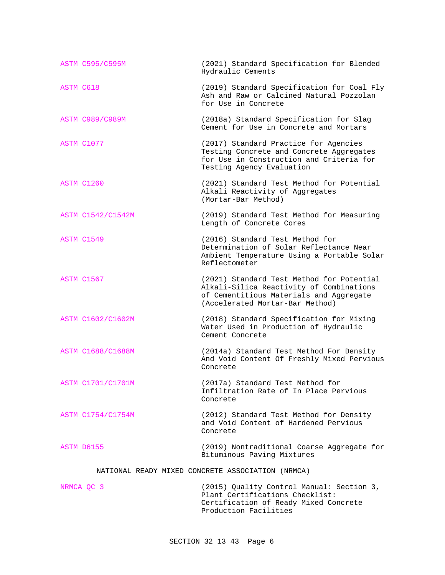|           | <b>ASTM C595/C595M</b>                            | (2021) Standard Specification for Blended<br>Hydraulic Cements                                                                                                      |  |  |
|-----------|---------------------------------------------------|---------------------------------------------------------------------------------------------------------------------------------------------------------------------|--|--|
| ASTM C618 |                                                   | (2019) Standard Specification for Coal Fly<br>Ash and Raw or Calcined Natural Pozzolan<br>for Use in Concrete                                                       |  |  |
|           | <b>ASTM C989/C989M</b>                            | (2018a) Standard Specification for Slag<br>Cement for Use in Concrete and Mortars                                                                                   |  |  |
|           | ASTM C1077                                        | (2017) Standard Practice for Agencies<br>Testing Concrete and Concrete Aggregates<br>for Use in Construction and Criteria for<br>Testing Agency Evaluation          |  |  |
|           | ASTM C1260                                        | (2021) Standard Test Method for Potential<br>Alkali Reactivity of Aggregates<br>(Mortar-Bar Method)                                                                 |  |  |
|           | ASTM C1542/C1542M                                 | (2019) Standard Test Method for Measuring<br>Length of Concrete Cores                                                                                               |  |  |
|           | ASTM C1549                                        | (2016) Standard Test Method for<br>Determination of Solar Reflectance Near<br>Ambient Temperature Using a Portable Solar<br>Reflectometer                           |  |  |
|           | ASTM C1567                                        | (2021) Standard Test Method for Potential<br>Alkali-Silica Reactivity of Combinations<br>of Cementitious Materials and Aggregate<br>(Accelerated Mortar-Bar Method) |  |  |
|           | ASTM C1602/C1602M                                 | (2018) Standard Specification for Mixing<br>Water Used in Production of Hydraulic<br>Cement Concrete                                                                |  |  |
|           | <b>ASTM C1688/C1688M</b>                          | (2014a) Standard Test Method For Density<br>And Void Content Of Freshly Mixed Pervious<br>Concrete                                                                  |  |  |
|           | ASTM C1701/C1701M                                 | (2017a) Standard Test Method for<br>Infiltration Rate of In Place Pervious<br>Concrete                                                                              |  |  |
|           | ASTM C1754/C1754M                                 | (2012) Standard Test Method for Density<br>and Void Content of Hardened Pervious<br>Concrete                                                                        |  |  |
|           | ASTM D6155                                        | (2019) Nontraditional Coarse Aggregate for<br>Bituminous Paving Mixtures                                                                                            |  |  |
|           | NATIONAL READY MIXED CONCRETE ASSOCIATION (NRMCA) |                                                                                                                                                                     |  |  |

NRMCA QC 3 (2015) Quality Control Manual: Section 3, Plant Certifications Checklist: Certification of Ready Mixed Concrete Production Facilities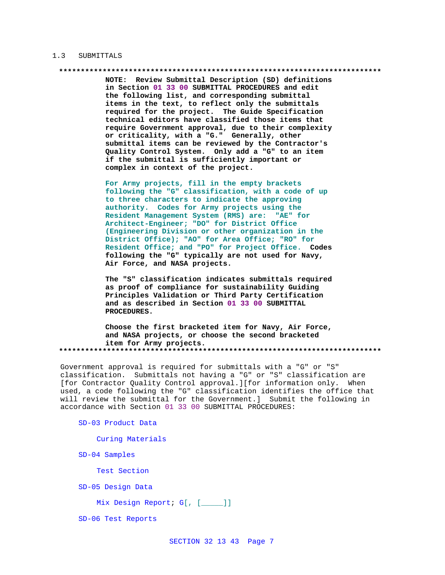#### 1.3 SUBMITTALS

NOTE: Review Submittal Description (SD) definitions in Section 01 33 00 SUBMITTAL PROCEDURES and edit the following list, and corresponding submittal items in the text, to reflect only the submittals required for the project. The Guide Specification technical editors have classified those items that require Government approval, due to their complexity or criticality, with a "G." Generally, other submittal items can be reviewed by the Contractor's Quality Control System. Only add a "G" to an item if the submittal is sufficiently important or complex in context of the project.

For Army projects, fill in the empty brackets following the "G" classification, with a code of up to three characters to indicate the approving authority. Codes for Army projects using the Resident Management System (RMS) are: "AE" for Architect-Engineer; "DO" for District Office (Engineering Division or other organization in the District Office); "AO" for Area Office; "RO" for Resident Office; and "PO" for Project Office. Codes following the "G" typically are not used for Navy, Air Force, and NASA projects.

The "S" classification indicates submittals required as proof of compliance for sustainability Guiding Principles Validation or Third Party Certification and as described in Section 01 33 00 SUBMITTAL PROCEDURES.

Choose the first bracketed item for Navy, Air Force, and NASA projects, or choose the second bracketed item for Army projects. 

Government approval is required for submittals with a "G" or "S" classification. Submittals not having a "G" or "S" classification are [for Contractor Quality Control approval.][for information only. When used, a code following the "G" classification identifies the office that will review the submittal for the Government.] Submit the following in accordance with Section 01 33 00 SUBMITTAL PROCEDURES:

SD-03 Product Data

Curing Materials

SD-04 Samples

Test Section

SD-05 Design Data

Mix Design Report; G[, [\_\_\_\_]]

SD-06 Test Reports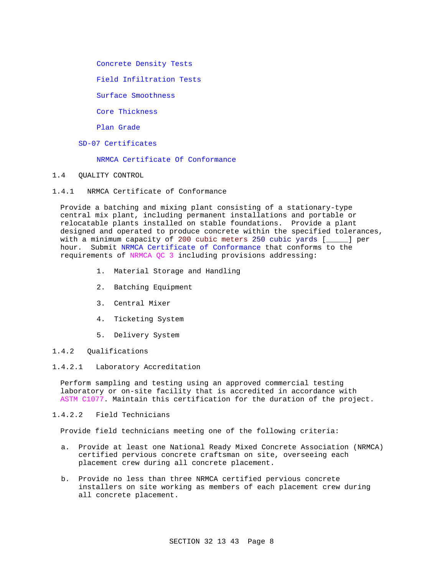Concrete Density Tests

Field Infiltration Tests

Surface Smoothness

Core Thickness

Plan Grade

SD-07 Certificates

NRMCA Certificate Of Conformance

- 1.4 QUALITY CONTROL
- 1.4.1 NRMCA Certificate of Conformance

Provide a batching and mixing plant consisting of a stationary-type central mix plant, including permanent installations and portable or relocatable plants installed on stable foundations. Provide a plant designed and operated to produce concrete within the specified tolerances, with a minimum capacity of 200 cubic meters 250 cubic yards [\_\_\_\_\_] per hour. Submit NRMCA Certificate of Conformance that conforms to the requirements of NRMCA QC 3 including provisions addressing:

- 1. Material Storage and Handling
- 2. Batching Equipment
- 3. Central Mixer
- 4. Ticketing System
- 5. Delivery System
- 1.4.2 Qualifications

#### 1.4.2.1 Laboratory Accreditation

Perform sampling and testing using an approved commercial testing laboratory or on-site facility that is accredited in accordance with ASTM C1077. Maintain this certification for the duration of the project.

# 1.4.2.2 Field Technicians

Provide field technicians meeting one of the following criteria:

- a. Provide at least one National Ready Mixed Concrete Association (NRMCA) certified pervious concrete craftsman on site, overseeing each placement crew during all concrete placement.
- b. Provide no less than three NRMCA certified pervious concrete installers on site working as members of each placement crew during all concrete placement.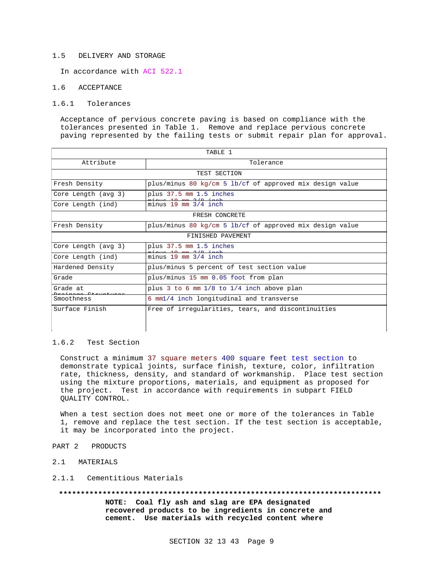#### 1.5 DELIVERY AND STORAGE

In accordance with ACI 522.1

#### 1.6 ACCEPTANCE

#### 1.6.1 Tolerances

Acceptance of pervious concrete paving is based on compliance with the tolerances presented in Table 1. Remove and replace pervious concrete paving represented by the failing tests or submit repair plan for approval.

| TARLE <sub>1</sub>  |                                                          |  |  |  |
|---------------------|----------------------------------------------------------|--|--|--|
| Attribute           | Tolerance                                                |  |  |  |
| TEST SECTION        |                                                          |  |  |  |
| Fresh Density       | plus/minus 80 kg/cm 5 lb/cf of approved mix design value |  |  |  |
| Core Length (avg 3) | plus 37.5 mm 1.5 inches                                  |  |  |  |
| Core Length (ind)   | minus $19 \text{ mm } 3/4$ inch                          |  |  |  |
| FRESH CONCRETE      |                                                          |  |  |  |
| Fresh Density       | plus/minus 80 kg/cm 5 lb/cf of approved mix design value |  |  |  |
| FINISHED PAVEMENT   |                                                          |  |  |  |
| Core Length (avg 3) | plus 37.5 mm 1.5 inches                                  |  |  |  |
| Core Length (ind)   | $minus 19$ mm $3/4$ inch                                 |  |  |  |
| Hardened Density    | plus/minus 5 percent of test section value               |  |  |  |
| Grade               | plus/minus 15 mm 0.05 foot from plan                     |  |  |  |
| Grade at            | plus $3$ to $6 \text{ mm } 1/8$ to $1/4$ inch above plan |  |  |  |
| Smoothness          | 6 mml/4 inch longitudinal and transverse                 |  |  |  |
| Surface Finish      | Free of irregularities, tears, and discontinuities       |  |  |  |
|                     |                                                          |  |  |  |
|                     |                                                          |  |  |  |

#### 1.6.2 Test Section

Construct a minimum 37 square meters 400 square feet test section to demonstrate typical joints, surface finish, texture, color, infiltration rate, thickness, density, and standard of workmanship. Place test section using the mixture proportions, materials, and equipment as proposed for the project. Test in accordance with requirements in subpart FIELD QUALITY CONTROL.

When a test section does not meet one or more of the tolerances in Table 1, remove and replace the test section. If the test section is acceptable, it may be incorporated into the project.

- PART 2 PRODUCTS
- 2.1 MATERIALS

## 2.1.1 Cementitious Materials

**\*\*\*\*\*\*\*\*\*\*\*\*\*\*\*\*\*\*\*\*\*\*\*\*\*\*\*\*\*\*\*\*\*\*\*\*\*\*\*\*\*\*\*\*\*\*\*\*\*\*\*\*\*\*\*\*\*\*\*\*\*\*\*\*\*\*\*\*\*\*\*\*\*\***

**NOTE: Coal fly ash and slag are EPA designated recovered products to be ingredients in concrete and cement. Use materials with recycled content where**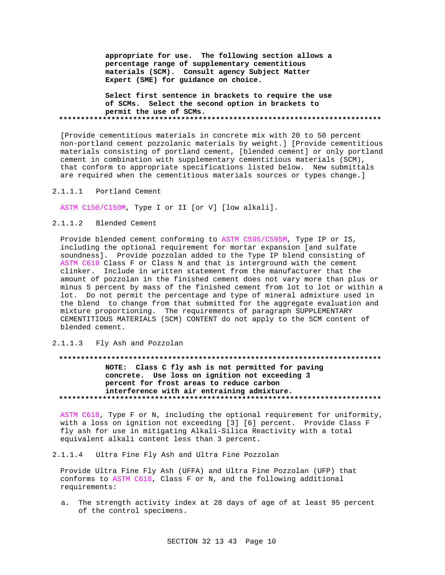**appropriate for use. The following section allows a percentage range of supplementary cementitious materials (SCM). Consult agency Subject Matter Expert (SME) for guidance on choice.**

**Select first sentence in brackets to require the use of SCMs. Select the second option in brackets to permit the use of SCMs. \*\*\*\*\*\*\*\*\*\*\*\*\*\*\*\*\*\*\*\*\*\*\*\*\*\*\*\*\*\*\*\*\*\*\*\*\*\*\*\*\*\*\*\*\*\*\*\*\*\*\*\*\*\*\*\*\*\*\*\*\*\*\*\*\*\*\*\*\*\*\*\*\*\***

[Provide cementitious materials in concrete mix with 20 to 50 percent non-portland cement pozzolanic materials by weight.] [Provide cementitious materials consisting of portland cement, [blended cement] or only portland cement in combination with supplementary cementitious materials (SCM), that conform to appropriate specifications listed below. New submittals are required when the cementitious materials sources or types change.]

## 2.1.1.1 Portland Cement

ASTM C150/C150M, Type I or II [or V] [low alkali].

# 2.1.1.2 Blended Cement

Provide blended cement conforming to ASTM C595/C595M, Type IP or IS, including the optional requirement for mortar expansion [and sulfate soundness]. Provide pozzolan added to the Type IP blend consisting of ASTM C618 Class F or Class N and that is interground with the cement clinker. Include in written statement from the manufacturer that the amount of pozzolan in the finished cement does not vary more than plus or minus 5 percent by mass of the finished cement from lot to lot or within a lot. Do not permit the percentage and type of mineral admixture used in the blend to change from that submitted for the aggregate evaluation and mixture proportioning. The requirements of paragraph SUPPLEMENTARY CEMENTITIOUS MATERIALS (SCM) CONTENT do not apply to the SCM content of blended cement.

2.1.1.3 Fly Ash and Pozzolan

# **\*\*\*\*\*\*\*\*\*\*\*\*\*\*\*\*\*\*\*\*\*\*\*\*\*\*\*\*\*\*\*\*\*\*\*\*\*\*\*\*\*\*\*\*\*\*\*\*\*\*\*\*\*\*\*\*\*\*\*\*\*\*\*\*\*\*\*\*\*\*\*\*\*\* NOTE: Class C fly ash is not permitted for paving concrete. Use loss on ignition not exceeding 3 percent for frost areas to reduce carbon interference with air entraining admixture. \*\*\*\*\*\*\*\*\*\*\*\*\*\*\*\*\*\*\*\*\*\*\*\*\*\*\*\*\*\*\*\*\*\*\*\*\*\*\*\*\*\*\*\*\*\*\*\*\*\*\*\*\*\*\*\*\*\*\*\*\*\*\*\*\*\*\*\*\*\*\*\*\*\***

ASTM C618, Type F or N, including the optional requirement for uniformity, with a loss on ignition not exceeding [3] [6] percent. Provide Class F fly ash for use in mitigating Alkali-Silica Reactivity with a total equivalent alkali content less than 3 percent.

#### 2.1.1.4 Ultra Fine Fly Ash and Ultra Fine Pozzolan

Provide Ultra Fine Fly Ash (UFFA) and Ultra Fine Pozzolan (UFP) that conforms to ASTM C618, Class F or N, and the following additional requirements:

a. The strength activity index at 28 days of age of at least 95 percent of the control specimens.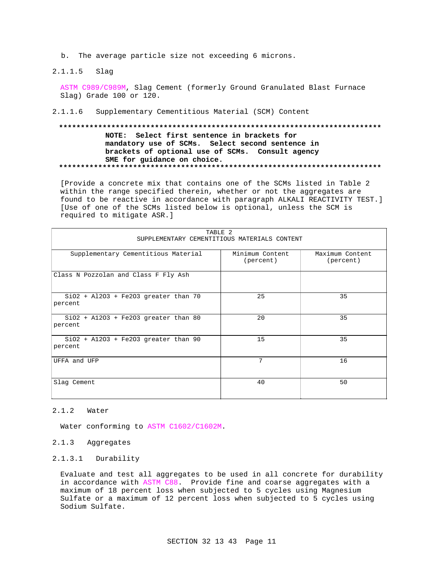b. The average particle size not exceeding 6 microns.

 $2.1.1.5$ Slag

> ASTM C989/C989M, Slag Cement (formerly Ground Granulated Blast Furnace Slag) Grade 100 or 120.

 $2.1.1.6$ Supplementary Cementitious Material (SCM) Content

# NOTE: Select first sentence in brackets for mandatory use of SCMs. Select second sentence in brackets of optional use of SCMs. Consult agency SME for guidance on choice.

[Provide a concrete mix that contains one of the SCMs listed in Table 2 within the range specified therein, whether or not the aggregates are found to be reactive in accordance with paragraph ALKALI REACTIVITY TEST.] [Use of one of the SCMs listed below is optional, unless the SCM is required to mitigate ASR.]

| TARLE <sub>2</sub><br>SUPPLEMENTARY CEMENTITIOUS MATERIALS CONTENT |                              |                              |  |  |  |
|--------------------------------------------------------------------|------------------------------|------------------------------|--|--|--|
|                                                                    |                              |                              |  |  |  |
| Supplementary Cementitious Material                                | Minimum Content<br>(percent) | Maximum Content<br>(percent) |  |  |  |
| Class N Pozzolan and Class F Fly Ash                               |                              |                              |  |  |  |
| $SiO2 + Al2O3 + Fe2O3$ greater than 70<br>percent                  | 25                           | 35                           |  |  |  |
| $SiO2 + A12O3 + Fe2O3 greater than 80$<br>percent                  | 20                           | 35                           |  |  |  |
| $SiO2 + A12O3 + Fe2O3 greater than 90$<br>percent                  | 15                           | 35                           |  |  |  |
| UFFA and UFP                                                       | 7                            | 16                           |  |  |  |
| Slag Cement                                                        | 40                           | 50                           |  |  |  |

#### $2.1.2$ Water

Water conforming to ASTM C1602/C1602M.

#### 2.1.3 Aggregates

#### 2.1.3.1 Durability

Evaluate and test all aggregates to be used in all concrete for durability in accordance with ASTM C88. Provide fine and coarse aggregates with a maximum of 18 percent loss when subjected to 5 cycles using Magnesium Sulfate or a maximum of 12 percent loss when subjected to 5 cycles using Sodium Sulfate.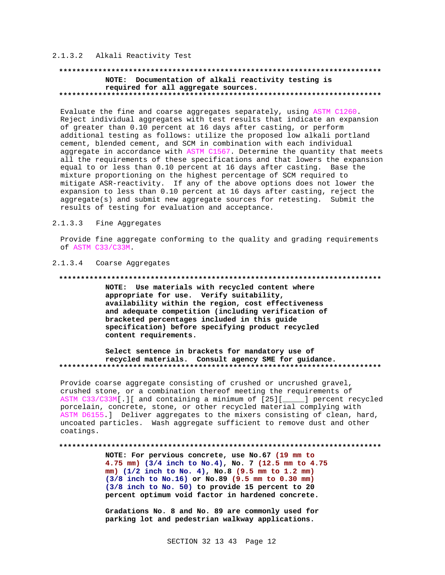# 2.1.3.2 Alkali Reactivity Test

# 

### NOTE: Documentation of alkali reactivity testing is required for all aggregate sources.

Evaluate the fine and coarse aggregates separately, using ASTM C1260. Reject individual aggregates with test results that indicate an expansion of greater than 0.10 percent at 16 days after casting, or perform additional testing as follows: utilize the proposed low alkali portland cement, blended cement, and SCM in combination with each individual aggregate in accordance with ASTM C1567. Determine the quantity that meets all the requirements of these specifications and that lowers the expansion equal to or less than 0.10 percent at 16 days after casting. Base the mixture proportioning on the highest percentage of SCM required to mitigate ASR-reactivity. If any of the above options does not lower the expansion to less than 0.10 percent at 16 days after casting, reject the aggregate(s) and submit new aggregate sources for retesting. Submit the results of testing for evaluation and acceptance.

#### $2.1.3.3$ Fine Aggregates

Provide fine aggregate conforming to the quality and grading requirements of ASTM C33/C33M.

#### 2.1.3.4 Coarse Aggregates

#### 

NOTE: Use materials with recycled content where appropriate for use. Verify suitability, availability within the region, cost effectiveness and adequate competition (including verification of bracketed percentages included in this guide specification) before specifying product recycled content requirements.

#### Select sentence in brackets for mandatory use of recycled materials. Consult agency SME for guidance.

Provide coarse aggregate consisting of crushed or uncrushed gravel, crushed stone, or a combination thereof meeting the requirements of ASTM C33/C33M[.][ and containing a minimum of [25][\_\_\_\_] percent recycled porcelain, concrete, stone, or other recycled material complying with ASTM D6155.] Deliver aggregates to the mixers consisting of clean, hard, uncoated particles. Wash aggregate sufficient to remove dust and other coatings.

#### 

NOTE: For pervious concrete, use No.67 (19 mm to 4.75 mm) (3/4 inch to No.4), No. 7 (12.5 mm to 4.75 mm) (1/2 inch to No. 4), No.8 (9.5 mm to 1.2 mm) (3/8 inch to No.16) or No.89 (9.5 mm to 0.30 mm) (3/8 inch to No. 50) to provide 15 percent to 20 percent optimum void factor in hardened concrete.

Gradations No. 8 and No. 89 are commonly used for parking lot and pedestrian walkway applications.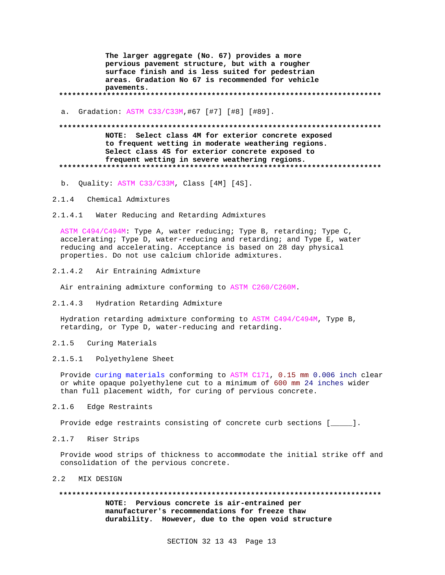**The larger aggregate (No. 67) provides a more pervious pavement structure, but with a rougher surface finish and is less suited for pedestrian areas. Gradation No 67 is recommended for vehicle pavements. \*\*\*\*\*\*\*\*\*\*\*\*\*\*\*\*\*\*\*\*\*\*\*\*\*\*\*\*\*\*\*\*\*\*\*\*\*\*\*\*\*\*\*\*\*\*\*\*\*\*\*\*\*\*\*\*\*\*\*\*\*\*\*\*\*\*\*\*\*\*\*\*\*\***

a. Gradation: ASTM C33/C33M,#67 [#7] [#8] [#89].

#### **\*\*\*\*\*\*\*\*\*\*\*\*\*\*\*\*\*\*\*\*\*\*\*\*\*\*\*\*\*\*\*\*\*\*\*\*\*\*\*\*\*\*\*\*\*\*\*\*\*\*\*\*\*\*\*\*\*\*\*\*\*\*\*\*\*\*\*\*\*\*\*\*\*\***

**NOTE: Select class 4M for exterior concrete exposed to frequent wetting in moderate weathering regions. Select class 4S for exterior concrete exposed to frequent wetting in severe weathering regions. \*\*\*\*\*\*\*\*\*\*\*\*\*\*\*\*\*\*\*\*\*\*\*\*\*\*\*\*\*\*\*\*\*\*\*\*\*\*\*\*\*\*\*\*\*\*\*\*\*\*\*\*\*\*\*\*\*\*\*\*\*\*\*\*\*\*\*\*\*\*\*\*\*\***

b. Quality: ASTM C33/C33M, Class [4M] [4S].

- 2.1.4 Chemical Admixtures
- 2.1.4.1 Water Reducing and Retarding Admixtures

ASTM C494/C494M: Type A, water reducing; Type B, retarding; Type C, accelerating; Type D, water-reducing and retarding; and Type E, water reducing and accelerating. Acceptance is based on 28 day physical properties. Do not use calcium chloride admixtures.

2.1.4.2 Air Entraining Admixture

Air entraining admixture conforming to ASTM C260/C260M.

2.1.4.3 Hydration Retarding Admixture

Hydration retarding admixture conforming to ASTM C494/C494M, Type B, retarding, or Type D, water-reducing and retarding.

- 2.1.5 Curing Materials
- 2.1.5.1 Polyethylene Sheet

Provide curing materials conforming to ASTM C171, 0.15 mm 0.006 inch clear or white opaque polyethylene cut to a minimum of 600 mm 24 inches wider than full placement width, for curing of pervious concrete.

2.1.6 Edge Restraints

Provide edge restraints consisting of concrete curb sections [\_\_\_\_\_].

2.1.7 Riser Strips

Provide wood strips of thickness to accommodate the initial strike off and consolidation of the pervious concrete.

2.2 MIX DESIGN

**\*\*\*\*\*\*\*\*\*\*\*\*\*\*\*\*\*\*\*\*\*\*\*\*\*\*\*\*\*\*\*\*\*\*\*\*\*\*\*\*\*\*\*\*\*\*\*\*\*\*\*\*\*\*\*\*\*\*\*\*\*\*\*\*\*\*\*\*\*\*\*\*\*\***

**NOTE: Pervious concrete is air-entrained per manufacturer's recommendations for freeze thaw durability. However, due to the open void structure**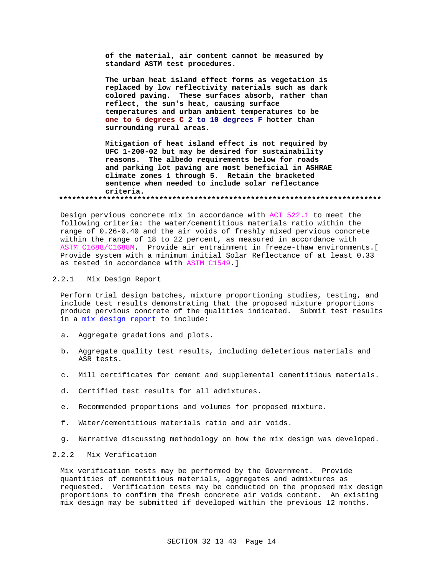**of the material, air content cannot be measured by standard ASTM test procedures.**

**The urban heat island effect forms as vegetation is replaced by low reflectivity materials such as dark colored paving. These surfaces absorb, rather than reflect, the sun's heat, causing surface temperatures and urban ambient temperatures to be one to 6 degrees C 2 to 10 degrees F hotter than surrounding rural areas.**

**Mitigation of heat island effect is not required by UFC 1-200-02 but may be desired for sustainability reasons. The albedo requirements below for roads and parking lot paving are most beneficial in ASHRAE climate zones 1 through 5. Retain the bracketed sentence when needed to include solar reflectance criteria. \*\*\*\*\*\*\*\*\*\*\*\*\*\*\*\*\*\*\*\*\*\*\*\*\*\*\*\*\*\*\*\*\*\*\*\*\*\*\*\*\*\*\*\*\*\*\*\*\*\*\*\*\*\*\*\*\*\*\*\*\*\*\*\*\*\*\*\*\*\*\*\*\*\***

Design pervious concrete mix in accordance with ACI 522.1 to meet the following criteria: the water/cementitious materials ratio within the range of 0.26-0.40 and the air voids of freshly mixed pervious concrete within the range of 18 to 22 percent, as measured in accordance with ASTM C1688/C1688M. Provide air entrainment in freeze-thaw environments.[ Provide system with a minimum initial Solar Reflectance of at least 0.33 as tested in accordance with ASTM C1549.]

#### 2.2.1 Mix Design Report

Perform trial design batches, mixture proportioning studies, testing, and include test results demonstrating that the proposed mixture proportions produce pervious concrete of the qualities indicated. Submit test results in a mix design report to include:

- a. Aggregate gradations and plots.
- b. Aggregate quality test results, including deleterious materials and ASR tests.
- c. Mill certificates for cement and supplemental cementitious materials.
- d. Certified test results for all admixtures.
- e. Recommended proportions and volumes for proposed mixture.
- f. Water/cementitious materials ratio and air voids.
- g. Narrative discussing methodology on how the mix design was developed.

# 2.2.2 Mix Verification

Mix verification tests may be performed by the Government. Provide quantities of cementitious materials, aggregates and admixtures as requested. Verification tests may be conducted on the proposed mix design proportions to confirm the fresh concrete air voids content. An existing mix design may be submitted if developed within the previous 12 months.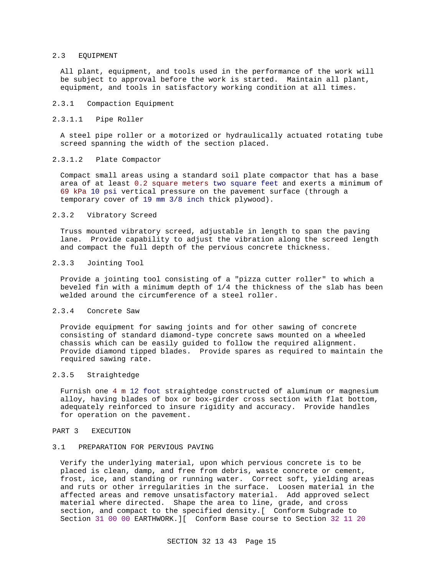#### 2.3 EQUIPMENT

All plant, equipment, and tools used in the performance of the work will be subject to approval before the work is started. Maintain all plant, equipment, and tools in satisfactory working condition at all times.

#### 2.3.1 Compaction Equipment

#### 2.3.1.1 Pipe Roller

A steel pipe roller or a motorized or hydraulically actuated rotating tube screed spanning the width of the section placed.

#### 2.3.1.2 Plate Compactor

Compact small areas using a standard soil plate compactor that has a base area of at least 0.2 square meters two square feet and exerts a minimum of 69 kPa 10 psi vertical pressure on the pavement surface (through a temporary cover of 19 mm 3/8 inch thick plywood).

#### 2.3.2 Vibratory Screed

Truss mounted vibratory screed, adjustable in length to span the paving lane. Provide capability to adjust the vibration along the screed length and compact the full depth of the pervious concrete thickness.

#### 2.3.3 Jointing Tool

Provide a jointing tool consisting of a "pizza cutter roller" to which a beveled fin with a minimum depth of 1/4 the thickness of the slab has been welded around the circumference of a steel roller.

# 2.3.4 Concrete Saw

Provide equipment for sawing joints and for other sawing of concrete consisting of standard diamond-type concrete saws mounted on a wheeled chassis which can be easily guided to follow the required alignment. Provide diamond tipped blades. Provide spares as required to maintain the required sawing rate.

#### 2.3.5 Straightedge

Furnish one 4 m 12 foot straightedge constructed of aluminum or magnesium alloy, having blades of box or box-girder cross section with flat bottom, adequately reinforced to insure rigidity and accuracy. Provide handles for operation on the pavement.

#### PART 3 EXECUTION

#### 3.1 PREPARATION FOR PERVIOUS PAVING

Verify the underlying material, upon which pervious concrete is to be placed is clean, damp, and free from debris, waste concrete or cement, frost, ice, and standing or running water. Correct soft, yielding areas and ruts or other irregularities in the surface. Loosen material in the affected areas and remove unsatisfactory material. Add approved select material where directed. Shape the area to line, grade, and cross section, and compact to the specified density.[ Conform Subgrade to Section 31 00 00 EARTHWORK.][ Conform Base course to Section 32 11 20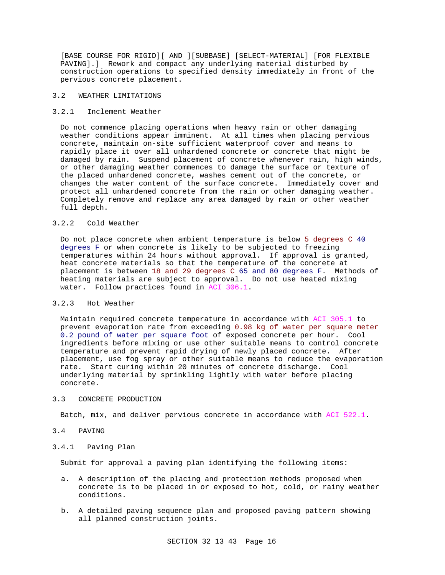[BASE COURSE FOR RIGID][ AND ][SUBBASE] [SELECT-MATERIAL] [FOR FLEXIBLE PAVING].] Rework and compact any underlying material disturbed by construction operations to specified density immediately in front of the pervious concrete placement.

#### 3.2 WEATHER LIMITATIONS

## 3.2.1 Inclement Weather

Do not commence placing operations when heavy rain or other damaging weather conditions appear imminent. At all times when placing pervious concrete, maintain on-site sufficient waterproof cover and means to rapidly place it over all unhardened concrete or concrete that might be damaged by rain. Suspend placement of concrete whenever rain, high winds, or other damaging weather commences to damage the surface or texture of the placed unhardened concrete, washes cement out of the concrete, or changes the water content of the surface concrete. Immediately cover and protect all unhardened concrete from the rain or other damaging weather. Completely remove and replace any area damaged by rain or other weather full depth.

# 3.2.2 Cold Weather

Do not place concrete when ambient temperature is below 5 degrees C 40 degrees F or when concrete is likely to be subjected to freezing temperatures within 24 hours without approval. If approval is granted, heat concrete materials so that the temperature of the concrete at placement is between 18 and 29 degrees C 65 and 80 degrees F. Methods of heating materials are subject to approval. Do not use heated mixing water. Follow practices found in ACI 306.1.

#### 3.2.3 Hot Weather

Maintain required concrete temperature in accordance with ACI 305.1 to prevent evaporation rate from exceeding 0.98 kg of water per square meter 0.2 pound of water per square foot of exposed concrete per hour. Cool ingredients before mixing or use other suitable means to control concrete temperature and prevent rapid drying of newly placed concrete. After placement, use fog spray or other suitable means to reduce the evaporation rate. Start curing within 20 minutes of concrete discharge. Cool underlying material by sprinkling lightly with water before placing concrete.

## 3.3 CONCRETE PRODUCTION

Batch, mix, and deliver pervious concrete in accordance with ACI 522.1.

#### 3.4 PAVING

#### 3.4.1 Paving Plan

Submit for approval a paving plan identifying the following items:

- a. A description of the placing and protection methods proposed when concrete is to be placed in or exposed to hot, cold, or rainy weather conditions.
- b. A detailed paving sequence plan and proposed paving pattern showing all planned construction joints.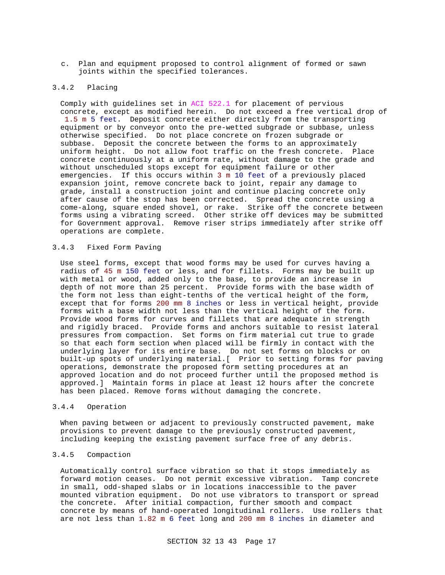c. Plan and equipment proposed to control alignment of formed or sawn joints within the specified tolerances.

#### 3.4.2 Placing

Comply with guidelines set in ACI 522.1 for placement of pervious concrete, except as modified herein. Do not exceed a free vertical drop of 1.5 m 5 feet. Deposit concrete either directly from the transporting equipment or by conveyor onto the pre-wetted subgrade or subbase, unless otherwise specified. Do not place concrete on frozen subgrade or subbase. Deposit the concrete between the forms to an approximately uniform height. Do not allow foot traffic on the fresh concrete. Place concrete continuously at a uniform rate, without damage to the grade and without unscheduled stops except for equipment failure or other emergencies. If this occurs within 3 m 10 feet of a previously placed expansion joint, remove concrete back to joint, repair any damage to grade, install a construction joint and continue placing concrete only after cause of the stop has been corrected. Spread the concrete using a come-along, square ended shovel, or rake. Strike off the concrete between forms using a vibrating screed. Other strike off devices may be submitted for Government approval. Remove riser strips immediately after strike off operations are complete.

#### 3.4.3 Fixed Form Paving

Use steel forms, except that wood forms may be used for curves having a radius of 45 m 150 feet or less, and for fillets. Forms may be built up with metal or wood, added only to the base, to provide an increase in depth of not more than 25 percent. Provide forms with the base width of the form not less than eight-tenths of the vertical height of the form, except that for forms 200 mm 8 inches or less in vertical height, provide forms with a base width not less than the vertical height of the form. Provide wood forms for curves and fillets that are adequate in strength and rigidly braced. Provide forms and anchors suitable to resist lateral pressures from compaction. Set forms on firm material cut true to grade so that each form section when placed will be firmly in contact with the underlying layer for its entire base. Do not set forms on blocks or on built-up spots of underlying material.[ Prior to setting forms for paving operations, demonstrate the proposed form setting procedures at an approved location and do not proceed further until the proposed method is approved.] Maintain forms in place at least 12 hours after the concrete has been placed. Remove forms without damaging the concrete.

#### 3.4.4 Operation

When paving between or adjacent to previously constructed pavement, make provisions to prevent damage to the previously constructed pavement, including keeping the existing pavement surface free of any debris.

#### 3.4.5 Compaction

Automatically control surface vibration so that it stops immediately as forward motion ceases. Do not permit excessive vibration. Tamp concrete in small, odd-shaped slabs or in locations inaccessible to the paver mounted vibration equipment. Do not use vibrators to transport or spread the concrete. After initial compaction, further smooth and compact concrete by means of hand-operated longitudinal rollers. Use rollers that are not less than 1.82 m 6 feet long and 200 mm 8 inches in diameter and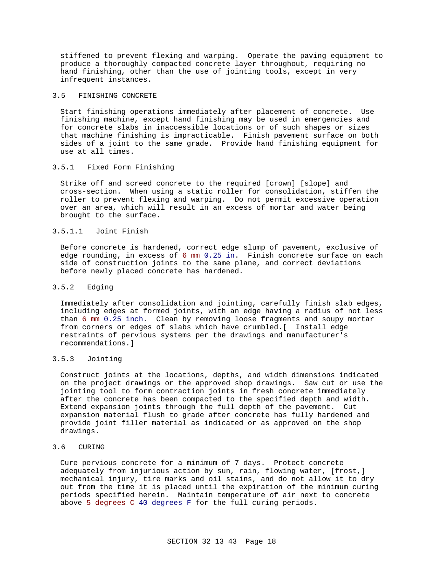stiffened to prevent flexing and warping. Operate the paving equipment to produce a thoroughly compacted concrete layer throughout, requiring no hand finishing, other than the use of jointing tools, except in very infrequent instances.

#### 3.5 FINISHING CONCRETE

Start finishing operations immediately after placement of concrete. Use finishing machine, except hand finishing may be used in emergencies and for concrete slabs in inaccessible locations or of such shapes or sizes that machine finishing is impracticable. Finish pavement surface on both sides of a joint to the same grade. Provide hand finishing equipment for use at all times.

#### 3.5.1 Fixed Form Finishing

Strike off and screed concrete to the required [crown] [slope] and cross-section. When using a static roller for consolidation, stiffen the roller to prevent flexing and warping. Do not permit excessive operation over an area, which will result in an excess of mortar and water being brought to the surface.

#### 3.5.1.1 Joint Finish

Before concrete is hardened, correct edge slump of pavement, exclusive of edge rounding, in excess of 6 mm 0.25 in. Finish concrete surface on each side of construction joints to the same plane, and correct deviations before newly placed concrete has hardened.

#### 3.5.2 Edging

Immediately after consolidation and jointing, carefully finish slab edges, including edges at formed joints, with an edge having a radius of not less than 6 mm 0.25 inch. Clean by removing loose fragments and soupy mortar from corners or edges of slabs which have crumbled.[ Install edge restraints of pervious systems per the drawings and manufacturer's recommendations.]

# 3.5.3 Jointing

Construct joints at the locations, depths, and width dimensions indicated on the project drawings or the approved shop drawings. Saw cut or use the jointing tool to form contraction joints in fresh concrete immediately after the concrete has been compacted to the specified depth and width. Extend expansion joints through the full depth of the pavement. Cut expansion material flush to grade after concrete has fully hardened and provide joint filler material as indicated or as approved on the shop drawings.

#### 3.6 CURING

Cure pervious concrete for a minimum of 7 days. Protect concrete adequately from injurious action by sun, rain, flowing water, [frost,] mechanical injury, tire marks and oil stains, and do not allow it to dry out from the time it is placed until the expiration of the minimum curing periods specified herein. Maintain temperature of air next to concrete above 5 degrees C 40 degrees F for the full curing periods.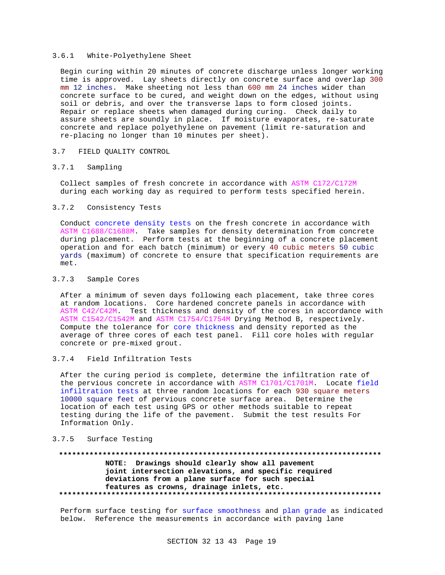#### 3.6.1 White-Polyethylene Sheet

Begin curing within 20 minutes of concrete discharge unless longer working time is approved. Lay sheets directly on concrete surface and overlap 300 mm 12 inches. Make sheeting not less than 600 mm 24 inches wider than concrete surface to be cured, and weight down on the edges, without using soil or debris, and over the transverse laps to form closed joints. Repair or replace sheets when damaged during curing. Check daily to assure sheets are soundly in place. If moisture evaporates, re-saturate concrete and replace polyethylene on pavement (limit re-saturation and re-placing no longer than 10 minutes per sheet).

#### 3.7 FIELD QUALITY CONTROL

#### 3.7.1 Sampling

Collect samples of fresh concrete in accordance with ASTM C172/C172M during each working day as required to perform tests specified herein.

#### 3.7.2 Consistency Tests

Conduct concrete density tests on the fresh concrete in accordance with ASTM C1688/C1688M. Take samples for density determination from concrete during placement. Perform tests at the beginning of a concrete placement operation and for each batch (minimum) or every 40 cubic meters 50 cubic yards (maximum) of concrete to ensure that specification requirements are met.

#### 3.7.3 Sample Cores

After a minimum of seven days following each placement, take three cores at random locations. Core hardened concrete panels in accordance with ASTM C42/C42M. Test thickness and density of the cores in accordance with ASTM C1542/C1542M and ASTM C1754/C1754M Drying Method B, respectively. Compute the tolerance for core thickness and density reported as the average of three cores of each test panel. Fill core holes with regular concrete or pre-mixed grout.

# 3.7.4 Field Infiltration Tests

After the curing period is complete, determine the infiltration rate of the pervious concrete in accordance with ASTM C1701/C1701M. Locate field infiltration tests at three random locations for each 930 square meters 10000 square feet of pervious concrete surface area. Determine the location of each test using GPS or other methods suitable to repeat testing during the life of the pavement. Submit the test results For Information Only.

# 3.7.5 Surface Testing

## **\*\*\*\*\*\*\*\*\*\*\*\*\*\*\*\*\*\*\*\*\*\*\*\*\*\*\*\*\*\*\*\*\*\*\*\*\*\*\*\*\*\*\*\*\*\*\*\*\*\*\*\*\*\*\*\*\*\*\*\*\*\*\*\*\*\*\*\*\*\*\*\*\*\* NOTE: Drawings should clearly show all pavement joint intersection elevations, and specific required deviations from a plane surface for such special features as crowns, drainage inlets, etc. \*\*\*\*\*\*\*\*\*\*\*\*\*\*\*\*\*\*\*\*\*\*\*\*\*\*\*\*\*\*\*\*\*\*\*\*\*\*\*\*\*\*\*\*\*\*\*\*\*\*\*\*\*\*\*\*\*\*\*\*\*\*\*\*\*\*\*\*\*\*\*\*\*\***

Perform surface testing for surface smoothness and plan grade as indicated below. Reference the measurements in accordance with paving lane